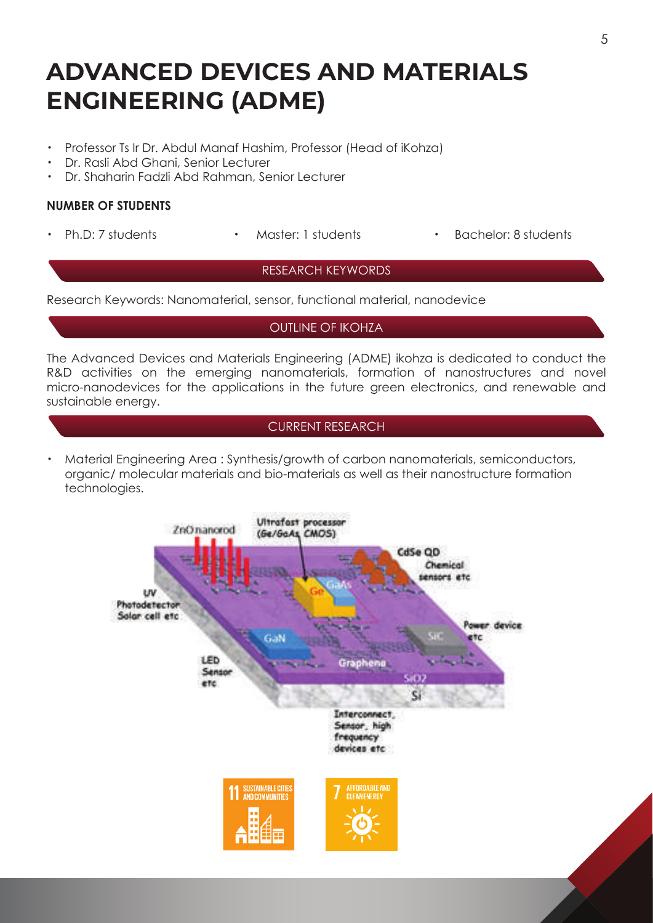# **ADVANCED DEVICES AND MATERIALS ENGINEERING (ADME)**

- ・ Professor Ts Ir Dr. Abdul Manaf Hashim, Professor (Head of iKohza)
- ・ Dr. Rasli Abd Ghani, Senior Lecturer
- ・ Dr. Shaharin Fadzli Abd Rahman, Senior Lecturer

## **NUMBER OF STUDENTS**

- 
- 
- Ph.D: 7 students Master: 1 students Bachelor: 8 students

### RESEARCH KEYWORDS

Research Keywords: Nanomaterial, sensor, functional material, nanodevice

OUTLINE OF IKOHZA

The Advanced Devices and Materials Engineering (ADME) ikohza is dedicated to conduct the R&D activities on the emerging nanomaterials, formation of nanostructures and novel micro-nanodevices for the applications in the future green electronics, and renewable and sustainable energy.

# CURRENT RESEARCH

• Material Engineering Area: Synthesis/growth of carbon nanomaterials, semiconductors, organic/ molecular materials and bio-materials as well as their nanostructure formation technologies.